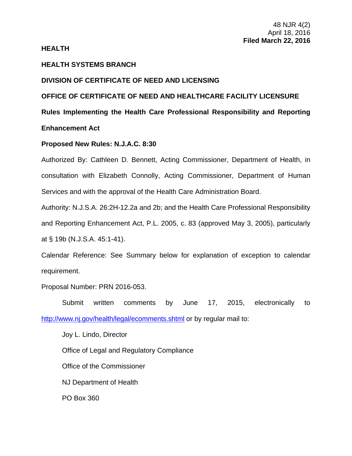## **HEALTH**

# **HEALTH SYSTEMS BRANCH**

# **DIVISION OF CERTIFICATE OF NEED AND LICENSING**

**OFFICE OF CERTIFICATE OF NEED AND HEALTHCARE FACILITY LICENSURE** 

**Rules Implementing the Health Care Professional Responsibility and Reporting** 

**Enhancement Act** 

### **Proposed New Rules: N.J.A.C. 8:30**

Authorized By: Cathleen D. Bennett, Acting Commissioner, Department of Health, in consultation with Elizabeth Connolly, Acting Commissioner, Department of Human Services and with the approval of the Health Care Administration Board.

Authority: N.J.S.A. 26:2H-12.2a and 2b; and the Health Care Professional Responsibility and Reporting Enhancement Act, P.L. 2005, c. 83 (approved May 3, 2005), particularly at § 19b (N.J.S.A. 45:1-41).

Calendar Reference: See Summary below for explanation of exception to calendar requirement.

Proposal Number: PRN 2016-053.

Submit written comments by June 17, 2015, electronically to http://www.nj.gov/health/legal/ecomments.shtml or by regular mail to:

Joy L. Lindo, Director Office of Legal and Regulatory Compliance Office of the Commissioner NJ Department of Health PO Box 360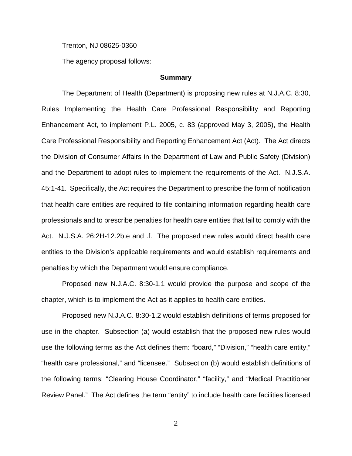Trenton, NJ 08625-0360

The agency proposal follows:

#### **Summary**

 The Department of Health (Department) is proposing new rules at N.J.A.C. 8:30, Rules Implementing the Health Care Professional Responsibility and Reporting Enhancement Act, to implement P.L. 2005, c. 83 (approved May 3, 2005), the Health Care Professional Responsibility and Reporting Enhancement Act (Act). The Act directs the Division of Consumer Affairs in the Department of Law and Public Safety (Division) and the Department to adopt rules to implement the requirements of the Act. N.J.S.A. 45:1-41. Specifically, the Act requires the Department to prescribe the form of notification that health care entities are required to file containing information regarding health care professionals and to prescribe penalties for health care entities that fail to comply with the Act. N.J.S.A. 26:2H-12.2b.e and .f. The proposed new rules would direct health care entities to the Division's applicable requirements and would establish requirements and penalties by which the Department would ensure compliance.

Proposed new N.J.A.C. 8:30-1.1 would provide the purpose and scope of the chapter, which is to implement the Act as it applies to health care entities.

Proposed new N.J.A.C. 8:30-1.2 would establish definitions of terms proposed for use in the chapter. Subsection (a) would establish that the proposed new rules would use the following terms as the Act defines them: "board," "Division," "health care entity," "health care professional," and "licensee." Subsection (b) would establish definitions of the following terms: "Clearing House Coordinator," "facility," and "Medical Practitioner Review Panel." The Act defines the term "entity" to include health care facilities licensed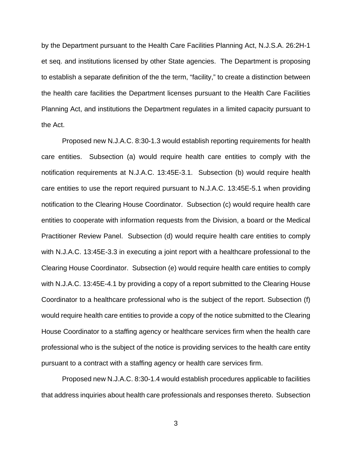by the Department pursuant to the Health Care Facilities Planning Act, N.J.S.A. 26:2H-1 et seq. and institutions licensed by other State agencies. The Department is proposing to establish a separate definition of the the term, "facility," to create a distinction between the health care facilities the Department licenses pursuant to the Health Care Facilities Planning Act, and institutions the Department regulates in a limited capacity pursuant to the Act.

Proposed new N.J.A.C. 8:30-1.3 would establish reporting requirements for health care entities. Subsection (a) would require health care entities to comply with the notification requirements at N.J.A.C. 13:45E-3.1. Subsection (b) would require health care entities to use the report required pursuant to N.J.A.C. 13:45E-5.1 when providing notification to the Clearing House Coordinator. Subsection (c) would require health care entities to cooperate with information requests from the Division, a board or the Medical Practitioner Review Panel. Subsection (d) would require health care entities to comply with N.J.A.C. 13:45E-3.3 in executing a joint report with a healthcare professional to the Clearing House Coordinator. Subsection (e) would require health care entities to comply with N.J.A.C. 13:45E-4.1 by providing a copy of a report submitted to the Clearing House Coordinator to a healthcare professional who is the subject of the report. Subsection (f) would require health care entities to provide a copy of the notice submitted to the Clearing House Coordinator to a staffing agency or healthcare services firm when the health care professional who is the subject of the notice is providing services to the health care entity pursuant to a contract with a staffing agency or health care services firm.

Proposed new N.J.A.C. 8:30-1.4 would establish procedures applicable to facilities that address inquiries about health care professionals and responses thereto. Subsection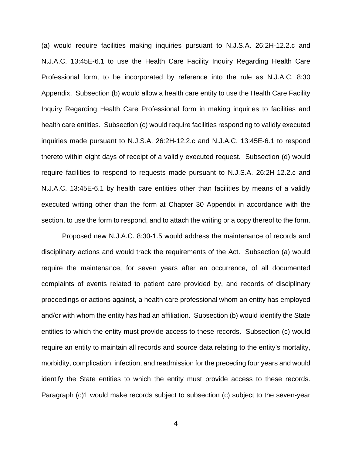(a) would require facilities making inquiries pursuant to N.J.S.A. 26:2H-12.2.c and N.J.A.C. 13:45E-6.1 to use the Health Care Facility Inquiry Regarding Health Care Professional form, to be incorporated by reference into the rule as N.J.A.C. 8:30 Appendix. Subsection (b) would allow a health care entity to use the Health Care Facility Inquiry Regarding Health Care Professional form in making inquiries to facilities and health care entities. Subsection (c) would require facilities responding to validly executed inquiries made pursuant to N.J.S.A. 26:2H-12.2.c and N.J.A.C. 13:45E-6.1 to respond thereto within eight days of receipt of a validly executed request. Subsection (d) would require facilities to respond to requests made pursuant to N.J.S.A. 26:2H-12.2.c and N.J.A.C. 13:45E-6.1 by health care entities other than facilities by means of a validly executed writing other than the form at Chapter 30 Appendix in accordance with the section, to use the form to respond, and to attach the writing or a copy thereof to the form.

Proposed new N.J.A.C. 8:30-1.5 would address the maintenance of records and disciplinary actions and would track the requirements of the Act. Subsection (a) would require the maintenance, for seven years after an occurrence, of all documented complaints of events related to patient care provided by, and records of disciplinary proceedings or actions against, a health care professional whom an entity has employed and/or with whom the entity has had an affiliation. Subsection (b) would identify the State entities to which the entity must provide access to these records. Subsection (c) would require an entity to maintain all records and source data relating to the entity's mortality, morbidity, complication, infection, and readmission for the preceding four years and would identify the State entities to which the entity must provide access to these records. Paragraph (c)1 would make records subject to subsection (c) subject to the seven-year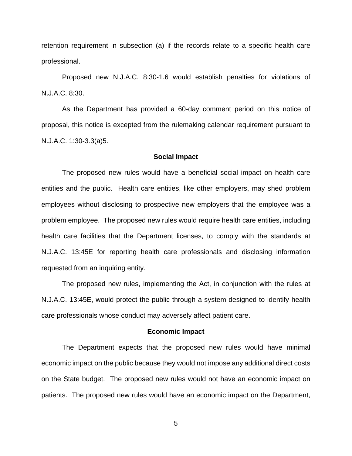retention requirement in subsection (a) if the records relate to a specific health care professional.

Proposed new N.J.A.C. 8:30-1.6 would establish penalties for violations of N.J.A.C. 8:30.

As the Department has provided a 60-day comment period on this notice of proposal, this notice is excepted from the rulemaking calendar requirement pursuant to N.J.A.C. 1:30-3.3(a)5.

#### **Social Impact**

The proposed new rules would have a beneficial social impact on health care entities and the public. Health care entities, like other employers, may shed problem employees without disclosing to prospective new employers that the employee was a problem employee. The proposed new rules would require health care entities, including health care facilities that the Department licenses, to comply with the standards at N.J.A.C. 13:45E for reporting health care professionals and disclosing information requested from an inquiring entity.

The proposed new rules, implementing the Act, in conjunction with the rules at N.J.A.C. 13:45E, would protect the public through a system designed to identify health care professionals whose conduct may adversely affect patient care.

#### **Economic Impact**

The Department expects that the proposed new rules would have minimal economic impact on the public because they would not impose any additional direct costs on the State budget. The proposed new rules would not have an economic impact on patients. The proposed new rules would have an economic impact on the Department,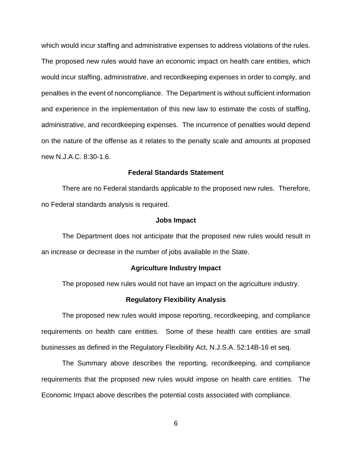which would incur staffing and administrative expenses to address violations of the rules. The proposed new rules would have an economic impact on health care entities, which would incur staffing, administrative, and recordkeeping expenses in order to comply, and penalties in the event of noncompliance. The Department is without sufficient information and experience in the implementation of this new law to estimate the costs of staffing, administrative, and recordkeeping expenses. The incurrence of penalties would depend on the nature of the offense as it relates to the penalty scale and amounts at proposed new N.J.A.C. 8:30-1.6.

#### **Federal Standards Statement**

There are no Federal standards applicable to the proposed new rules. Therefore, no Federal standards analysis is required.

#### **Jobs Impact**

The Department does not anticipate that the proposed new rules would result in an increase or decrease in the number of jobs available in the State.

#### **Agriculture Industry Impact**

The proposed new rules would not have an impact on the agriculture industry.

#### **Regulatory Flexibility Analysis**

The proposed new rules would impose reporting, recordkeeping, and compliance requirements on health care entities. Some of these health care entities are small businesses as defined in the Regulatory Flexibility Act, N.J.S.A. 52:14B-16 et seq.

The Summary above describes the reporting, recordkeeping, and compliance requirements that the proposed new rules would impose on health care entities. The Economic Impact above describes the potential costs associated with compliance.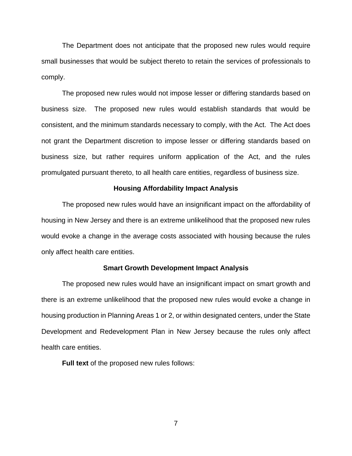The Department does not anticipate that the proposed new rules would require small businesses that would be subject thereto to retain the services of professionals to comply.

The proposed new rules would not impose lesser or differing standards based on business size. The proposed new rules would establish standards that would be consistent, and the minimum standards necessary to comply, with the Act. The Act does not grant the Department discretion to impose lesser or differing standards based on business size, but rather requires uniform application of the Act, and the rules promulgated pursuant thereto, to all health care entities, regardless of business size.

#### **Housing Affordability Impact Analysis**

The proposed new rules would have an insignificant impact on the affordability of housing in New Jersey and there is an extreme unlikelihood that the proposed new rules would evoke a change in the average costs associated with housing because the rules only affect health care entities.

#### **Smart Growth Development Impact Analysis**

The proposed new rules would have an insignificant impact on smart growth and there is an extreme unlikelihood that the proposed new rules would evoke a change in housing production in Planning Areas 1 or 2, or within designated centers, under the State Development and Redevelopment Plan in New Jersey because the rules only affect health care entities.

**Full text** of the proposed new rules follows: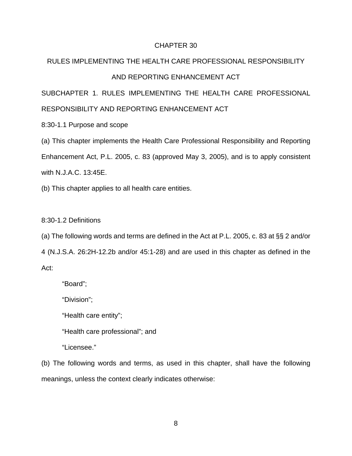#### CHAPTER 30

# RULES IMPLEMENTING THE HEALTH CARE PROFESSIONAL RESPONSIBILITY AND REPORTING ENHANCEMENT ACT

SUBCHAPTER 1. RULES IMPLEMENTING THE HEALTH CARE PROFESSIONAL RESPONSIBILITY AND REPORTING ENHANCEMENT ACT

8:30-1.1 Purpose and scope

(a) This chapter implements the Health Care Professional Responsibility and Reporting Enhancement Act, P.L. 2005, c. 83 (approved May 3, 2005), and is to apply consistent with N.J.A.C. 13:45E.

(b) This chapter applies to all health care entities.

8:30-1.2 Definitions

(a) The following words and terms are defined in the Act at P.L. 2005, c. 83 at §§ 2 and/or 4 (N.J.S.A. 26:2H-12.2b and/or 45:1-28) and are used in this chapter as defined in the Act:

"Board";

"Division";

"Health care entity";

"Health care professional"; and

"Licensee."

(b) The following words and terms, as used in this chapter, shall have the following meanings, unless the context clearly indicates otherwise: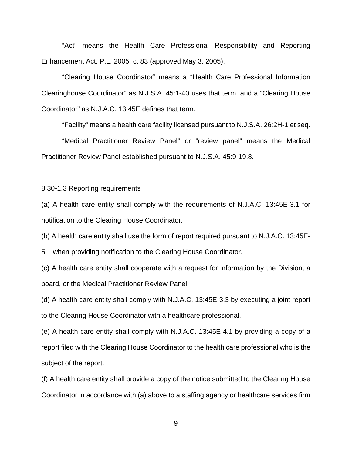"Act" means the Health Care Professional Responsibility and Reporting Enhancement Act, P.L. 2005, c. 83 (approved May 3, 2005).

"Clearing House Coordinator" means a "Health Care Professional Information Clearinghouse Coordinator" as N.J.S.A. 45:1-40 uses that term, and a "Clearing House Coordinator" as N.J.A.C. 13:45E defines that term.

"Facility" means a health care facility licensed pursuant to N.J.S.A. 26:2H-1 et seq.

"Medical Practitioner Review Panel" or "review panel" means the Medical Practitioner Review Panel established pursuant to N.J.S.A. 45:9-19.8.

8:30-1.3 Reporting requirements

(a) A health care entity shall comply with the requirements of N.J.A.C. 13:45E-3.1 for notification to the Clearing House Coordinator.

(b) A health care entity shall use the form of report required pursuant to N.J.A.C. 13:45E-

5.1 when providing notification to the Clearing House Coordinator.

(c) A health care entity shall cooperate with a request for information by the Division, a board, or the Medical Practitioner Review Panel.

(d) A health care entity shall comply with N.J.A.C. 13:45E-3.3 by executing a joint report to the Clearing House Coordinator with a healthcare professional.

(e) A health care entity shall comply with N.J.A.C. 13:45E-4.1 by providing a copy of a report filed with the Clearing House Coordinator to the health care professional who is the subject of the report.

(f) A health care entity shall provide a copy of the notice submitted to the Clearing House Coordinator in accordance with (a) above to a staffing agency or healthcare services firm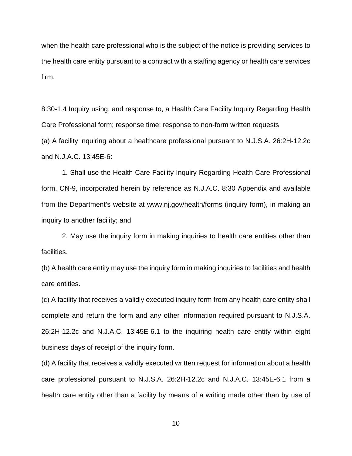when the health care professional who is the subject of the notice is providing services to the health care entity pursuant to a contract with a staffing agency or health care services firm.

8:30-1.4 Inquiry using, and response to, a Health Care Facility Inquiry Regarding Health Care Professional form; response time; response to non-form written requests (a) A facility inquiring about a healthcare professional pursuant to N.J.S.A. 26:2H-12.2c and N.J.A.C. 13:45E-6:

1. Shall use the Health Care Facility Inquiry Regarding Health Care Professional form, CN-9, incorporated herein by reference as N.J.A.C. 8:30 Appendix and available from the Department's website at www.nj.gov/health/forms (inquiry form), in making an inquiry to another facility; and

2. May use the inquiry form in making inquiries to health care entities other than facilities.

(b) A health care entity may use the inquiry form in making inquiries to facilities and health care entities.

(c) A facility that receives a validly executed inquiry form from any health care entity shall complete and return the form and any other information required pursuant to N.J.S.A. 26:2H-12.2c and N.J.A.C. 13:45E-6.1 to the inquiring health care entity within eight business days of receipt of the inquiry form.

(d) A facility that receives a validly executed written request for information about a health care professional pursuant to N.J.S.A. 26:2H-12.2c and N.J.A.C. 13:45E-6.1 from a health care entity other than a facility by means of a writing made other than by use of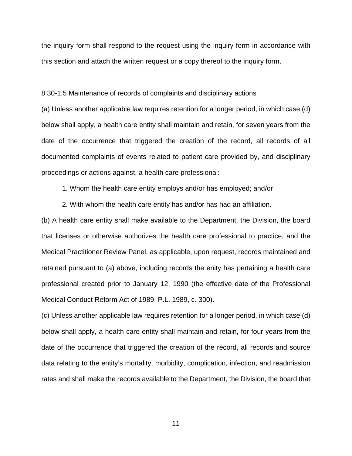the inquiry form shall respond to the request using the inquiry form in accordance with this section and attach the written request or a copy thereof to the inquiry form.

8:30-1.5 Maintenance of records of complaints and disciplinary actions

(a) Unless another applicable law requires retention for a longer period, in which case (d) below shall apply, a health care entity shall maintain and retain, for seven years from the date of the occurrence that triggered the creation of the record, all records of all documented complaints of events related to patient care provided by, and disciplinary proceedings or actions against, a health care professional:

1. Whom the health care entity employs and/or has employed; and/or

2. With whom the health care entity has and/or has had an affiliation.

(b) A health care entity shall make available to the Department, the Division, the board that licenses or otherwise authorizes the health care professional to practice, and the Medical Practitioner Review Panel, as applicable, upon request, records maintained and retained pursuant to (a) above, including records the enity has pertaining a health care professional created prior to January 12, 1990 (the effective date of the Professional Medical Conduct Reform Act of 1989, P.L. 1989, c. 300).

(c) Unless another applicable law requires retention for a longer period, in which case (d) below shall apply, a health care entity shall maintain and retain, for four years from the date of the occurrence that triggered the creation of the record, all records and source data relating to the entity's mortality, morbidity, complication, infection, and readmission rates and shall make the records available to the Department, the Division, the board that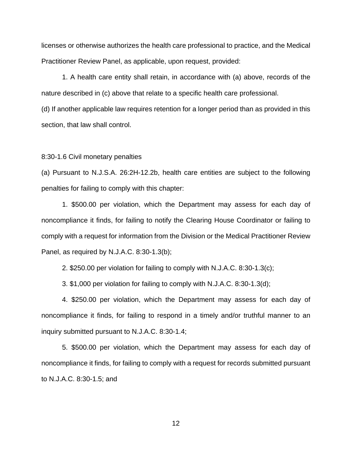licenses or otherwise authorizes the health care professional to practice, and the Medical Practitioner Review Panel, as applicable, upon request, provided:

1. A health care entity shall retain, in accordance with (a) above, records of the nature described in (c) above that relate to a specific health care professional.

(d) If another applicable law requires retention for a longer period than as provided in this section, that law shall control.

8:30-1.6 Civil monetary penalties

(a) Pursuant to N.J.S.A. 26:2H-12.2b, health care entities are subject to the following penalties for failing to comply with this chapter:

1. \$500.00 per violation, which the Department may assess for each day of noncompliance it finds, for failing to notify the Clearing House Coordinator or failing to comply with a request for information from the Division or the Medical Practitioner Review Panel, as required by N.J.A.C. 8:30-1.3(b);

2. \$250.00 per violation for failing to comply with N.J.A.C. 8:30-1.3(c);

3. \$1,000 per violation for failing to comply with N.J.A.C. 8:30-1.3(d);

4. \$250.00 per violation, which the Department may assess for each day of noncompliance it finds, for failing to respond in a timely and/or truthful manner to an inquiry submitted pursuant to N.J.A.C. 8:30-1.4;

5. \$500.00 per violation, which the Department may assess for each day of noncompliance it finds, for failing to comply with a request for records submitted pursuant to N.J.A.C. 8:30-1.5; and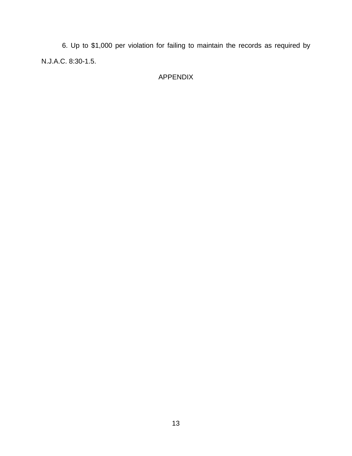6. Up to \$1,000 per violation for failing to maintain the records as required by N.J.A.C. 8:30-1.5.

# APPENDIX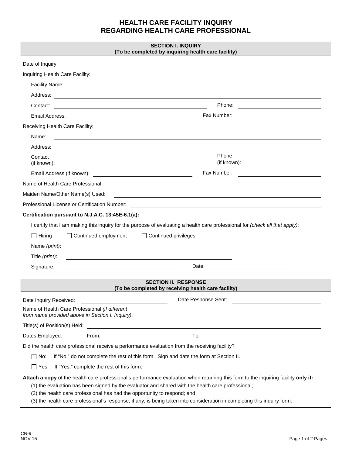# **HEALTH CARE FACILITY INQUIRY REGARDING HEALTH CARE PROFESSIONAL**

| <b>SECTION I. INQUIRY</b><br>(To be completed by inquiring health care facility)                                                                                                                                                                                                                                                                                                                                  |                                                                                                                                    |
|-------------------------------------------------------------------------------------------------------------------------------------------------------------------------------------------------------------------------------------------------------------------------------------------------------------------------------------------------------------------------------------------------------------------|------------------------------------------------------------------------------------------------------------------------------------|
| Date of Inquiry:                                                                                                                                                                                                                                                                                                                                                                                                  |                                                                                                                                    |
| Inquiring Health Care Facility:                                                                                                                                                                                                                                                                                                                                                                                   |                                                                                                                                    |
| Facility Name: <u>example and the set of the set of the set of the set of the set of the set of the set of the set of the set of the set of the set of the set of the set of the set of the set of the set of the set of the set</u>                                                                                                                                                                              |                                                                                                                                    |
|                                                                                                                                                                                                                                                                                                                                                                                                                   |                                                                                                                                    |
| Contact:                                                                                                                                                                                                                                                                                                                                                                                                          | Phone:<br><u> 1989 - Johann Barbara, martin amerikan basar dan basa dan basa dan basa dalam basa dalam basa dalam basa dala</u>    |
|                                                                                                                                                                                                                                                                                                                                                                                                                   | Fax Number:<br><u> 1989 - Jan Sterlinger, fransk politiker (</u>                                                                   |
| Receiving Health Care Facility:                                                                                                                                                                                                                                                                                                                                                                                   |                                                                                                                                    |
| Name:<br><u> 1989 - Johann Stoff, amerikansk politiker (* 1908)</u>                                                                                                                                                                                                                                                                                                                                               |                                                                                                                                    |
|                                                                                                                                                                                                                                                                                                                                                                                                                   |                                                                                                                                    |
| Contact                                                                                                                                                                                                                                                                                                                                                                                                           | Phone<br>$(if$ known):                                                                                                             |
|                                                                                                                                                                                                                                                                                                                                                                                                                   | Fax Number:                                                                                                                        |
|                                                                                                                                                                                                                                                                                                                                                                                                                   |                                                                                                                                    |
| Maiden Name/Other Name(s) Used:                                                                                                                                                                                                                                                                                                                                                                                   | <u> 1989 - Johann Barn, amerikansk politiker (d. 1989)</u>                                                                         |
|                                                                                                                                                                                                                                                                                                                                                                                                                   |                                                                                                                                    |
| Certification pursuant to N.J.A.C. 13:45E-6.1(a):                                                                                                                                                                                                                                                                                                                                                                 |                                                                                                                                    |
|                                                                                                                                                                                                                                                                                                                                                                                                                   | I certify that I am making this inquiry for the purpose of evaluating a health care professional for (check all that apply):       |
| $\Box$ Hiring<br>□ Continued employment                                                                                                                                                                                                                                                                                                                                                                           | □ Continued privileges                                                                                                             |
| Name (print):<br><u> 1980 - Jan Samuel Barbara, martin da shekara tsara 1980 - An tsara 1980 - An tsara 1980 - An tsara 1980 - An</u>                                                                                                                                                                                                                                                                             |                                                                                                                                    |
| Title (print):                                                                                                                                                                                                                                                                                                                                                                                                    |                                                                                                                                    |
| Signature:                                                                                                                                                                                                                                                                                                                                                                                                        |                                                                                                                                    |
|                                                                                                                                                                                                                                                                                                                                                                                                                   | <b>SECTION II. RESPONSE</b>                                                                                                        |
| (To be completed by receiving health care facility)                                                                                                                                                                                                                                                                                                                                                               |                                                                                                                                    |
| Date Inquiry Received:                                                                                                                                                                                                                                                                                                                                                                                            | Date Response Sent:                                                                                                                |
| Name of Health Care Professional (if different<br>from name provided above in Section I. Inquiry):                                                                                                                                                                                                                                                                                                                |                                                                                                                                    |
| Title(s) of Position(s) Held:                                                                                                                                                                                                                                                                                                                                                                                     |                                                                                                                                    |
| Dates Employed:<br>From:                                                                                                                                                                                                                                                                                                                                                                                          | To:                                                                                                                                |
| Did the health care professional receive a performance evaluation from the receiving facility?                                                                                                                                                                                                                                                                                                                    |                                                                                                                                    |
| $\Box$ No:<br>If "No," do not complete the rest of this form. Sign and date the form at Section II.                                                                                                                                                                                                                                                                                                               |                                                                                                                                    |
| $\Box$ Yes: If "Yes," complete the rest of this form.                                                                                                                                                                                                                                                                                                                                                             |                                                                                                                                    |
| (1) the evaluation has been signed by the evaluator and shared with the health care professional;<br>(2) the health care professional has had the opportunity to respond; and<br>$\Omega$ the best line of the continuation of the second contract of the state of the state of the state of the state of the state of the state of the state of the state of the state of the state of the state of the state of | Attach a copy of the health care professional's performance evaluation when returning this form to the inquiring facility only if: |

(3) the health care professional's response, if any, is being taken into consideration in completing this inquiry form.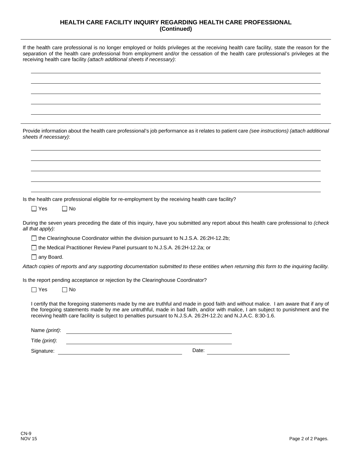#### **HEALTH CARE FACILITY INQUIRY REGARDING HEALTH CARE PROFESSIONAL (Continued)**

If the health care professional is no longer employed or holds privileges at the receiving health care facility, state the reason for the separation of the health care professional from employment and/or the cessation of the health care professional's privileges at the receiving health care facility *(attach additional sheets if necessary)*:

| Provide information about the health care professional's job performance as it relates to patient care (see instructions) (attach additional<br>sheets if necessary):                                                                                                                                                                                                                   |
|-----------------------------------------------------------------------------------------------------------------------------------------------------------------------------------------------------------------------------------------------------------------------------------------------------------------------------------------------------------------------------------------|
|                                                                                                                                                                                                                                                                                                                                                                                         |
| Is the health care professional eligible for re-employment by the receiving health care facility?<br>$\Box$ Yes<br>$\Box$ No                                                                                                                                                                                                                                                            |
|                                                                                                                                                                                                                                                                                                                                                                                         |
| During the seven years preceding the date of this inquiry, have you submitted any report about this health care professional to (check<br>all that apply):                                                                                                                                                                                                                              |
| □ the Clearinghouse Coordinator within the division pursuant to N.J.S.A. 26:2H-12.2b;                                                                                                                                                                                                                                                                                                   |
| □ the Medical Practitioner Review Panel pursuant to N.J.S.A. 26:2H-12.2a; or                                                                                                                                                                                                                                                                                                            |
| $\Box$ any Board.                                                                                                                                                                                                                                                                                                                                                                       |
| Attach copies of reports and any supporting documentation submitted to these entities when returning this form to the inquiring facility.                                                                                                                                                                                                                                               |
| Is the report pending acceptance or rejection by the Clearinghouse Coordinator?                                                                                                                                                                                                                                                                                                         |
| Yes<br>l INo                                                                                                                                                                                                                                                                                                                                                                            |
| I certify that the foregoing statements made by me are truthful and made in good faith and without malice. I am aware that if any of<br>the foregoing statements made by me are untruthful, made in bad faith, and/or with malice, I am subject to punishment and the<br>receiving health care facility is subject to penalties pursuant to N.J.S.A. 26:2H-12.2c and N.J.A.C. 8:30-1.6. |
| Name (print):                                                                                                                                                                                                                                                                                                                                                                           |
| Title (print):                                                                                                                                                                                                                                                                                                                                                                          |
| Date:<br>Signature:                                                                                                                                                                                                                                                                                                                                                                     |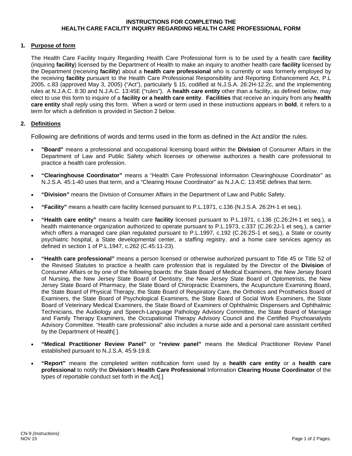#### **INSTRUCTIONS FOR COMPLETING THE HEALTH CARE FACILITY INQUIRY REGARDING HEALTH CARE PROFESSIONAL FORM**

#### **1. Purpose of form**

The Health Care Facility Inquiry Regarding Health Care Professional form is to be used by a health care **facility** (inquiring **facility**) licensed by the Department of Health to make an inquiry to another health care **facility** licensed by the Department (receiving **facility**) about a **health care professional** who is currently or was formerly employed by the receiving **facility** pursuant to the Health Care Professional Responsibility and Reporting Enhancement Act, P.L 2005, c.83 (approved May 3, 2005) ("Act"), particularly § 15, codified at N.J.S.A. 26:2H-12.2c, and the implementing rules at N.J.A.C. 8:30 and N.J.A.C. 13:45E ("rules"). A **health care entity** other than a facility, as defined below, may elect to use this form to inquire of a **facility or a health care entity**. **Facilities** that receive an inquiry from any **health care entity** shall reply using this form. When a word or term used in these instructions appears in **bold**, it refers to a term for which a definition is provided in Section 2 below.

#### **2. Definitions**

Following are definitions of words and terms used in the form as defined in the Act and/or the rules.

- **"Board"** means a professional and occupational licensing board within the **Division** of Consumer Affairs in the Department of Law and Public Safety which licenses or otherwise authorizes a health care professional to practice a health care profession.
- **"Clearinghouse Coordinator"** means a "Health Care Professional Information Clearinghouse Coordinator" as N.J.S.A. 45:1-40 uses that term, and a "Clearing House Coordinator" as N.J.A.C. 13:45E defines that term.
- **"Division"** means the Division of Consumer Affairs in the Department of Law and Public Safety.
- **"Facility"** means a health care facility licensed pursuant to P.L.1971, c.136 (N.J.S.A. 26:2H-1 et seq.).
- **"Health care entity"** means a health care **facility** licensed pursuant to P.L.1971, c.136 (C.26:2H-1 et seq.), a health maintenance organization authorized to operate pursuant to P.L.1973, c.337 (C.26:2J-1 et seq.), a carrier which offers a managed care plan regulated pursuant to P.L.1997, c.192 (C.26:2S-1 et seq.), a State or county psychiatric hospital, a State developmental center, a staffing registry, and a home care services agency as defined in section 1 of P.L.1947, c.262 (C.45:11-23).
- **"Health care professional"** means a person licensed or otherwise authorized pursuant to Title 45 or Title 52 of the Revised Statutes to practice a health care profession that is regulated by the Director of the **Division** of Consumer Affairs or by one of the following boards: the State Board of Medical Examiners, the New Jersey Board of Nursing, the New Jersey State Board of Dentistry, the New Jersey State Board of Optometrists, the New Jersey State Board of Pharmacy, the State Board of Chiropractic Examiners, the Acupuncture Examining Board, the State Board of Physical Therapy, the State Board of Respiratory Care, the Orthotics and Prosthetics Board of Examiners, the State Board of Psychological Examiners, the State Board of Social Work Examiners, the State Board of Veterinary Medical Examiners, the State Board of Examiners of Ophthalmic Dispensers and Ophthalmic Technicians, the Audiology and Speech-Language Pathology Advisory Committee, the State Board of Marriage and Family Therapy Examiners, the Occupational Therapy Advisory Council and the Certified Psychoanalysts Advisory Committee. "Health care professional" also includes a nurse aide and a personal care assistant certified by the Department of Health[ ].
- **"Medical Practitioner Review Panel"** or **"review panel"** means the Medical Practitioner Review Panel established pursuant to N.J.S.A. 45:9-19.8.
- **"Report"** means the completed written notification form used by a **health care entity** or a **health care professional** to notify the **Division**'s **Health Care Professional** Information **Clearing House Coordinator** of the types of reportable conduct set forth in the Act[.]